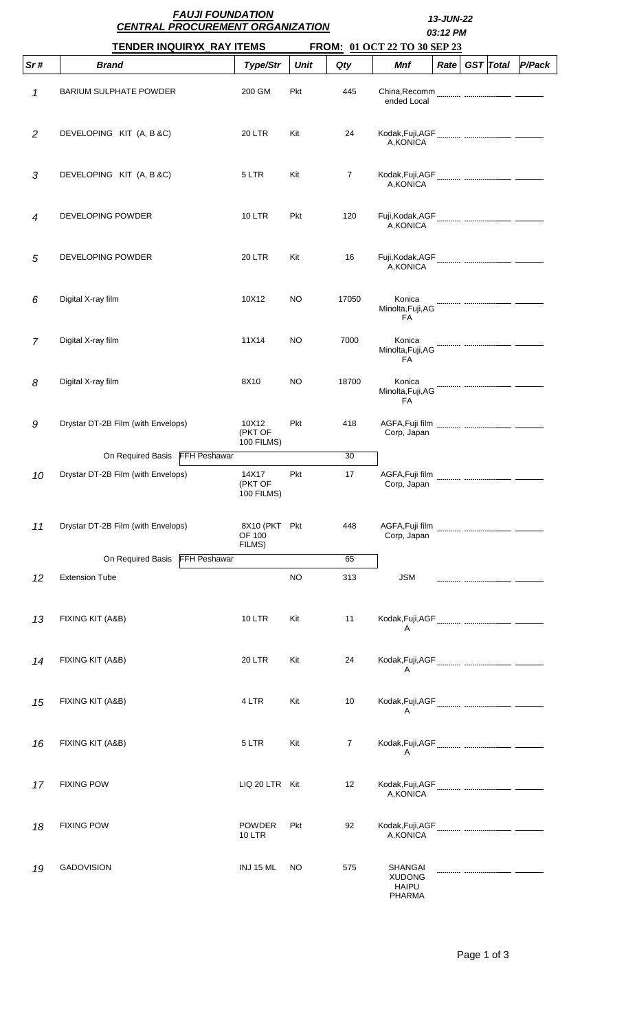|                | <b>FAUJI FOUNDATION</b><br><b>CENTRAL PROCUREMENT ORGANIZATION</b> | 13-JUN-22<br>03:12 PM                 |             |                |                                                                  |      |  |                  |        |  |
|----------------|--------------------------------------------------------------------|---------------------------------------|-------------|----------------|------------------------------------------------------------------|------|--|------------------|--------|--|
|                | <b>TENDER INQUIRYX_RAY ITEMS</b>                                   |                                       |             |                | FROM: 01 OCT 22 TO 30 SEP 23                                     |      |  |                  |        |  |
| Sr#            | <b>Brand</b>                                                       | <b>Type/Str</b>                       | <b>Unit</b> | Qty            | Mnf                                                              | Rate |  | <b>GST</b> Total | P/Pack |  |
| 1              | <b>BARIUM SULPHATE POWDER</b>                                      | 200 GM                                | Pkt         | 445            | ended Local                                                      |      |  |                  |        |  |
| $\overline{2}$ | DEVELOPING KIT (A, B &C)                                           | 20 LTR                                | Kit         | 24             | A, KONICA                                                        |      |  |                  |        |  |
| 3              | DEVELOPING KIT (A, B &C)                                           | 5 LTR                                 | Kit         | $\overline{7}$ | A, KONICA                                                        |      |  |                  |        |  |
| $\overline{4}$ | DEVELOPING POWDER                                                  | <b>10 LTR</b>                         | Pkt         | 120            | A, KONICA                                                        |      |  |                  |        |  |
| 5              | DEVELOPING POWDER                                                  | <b>20 LTR</b>                         | Kit         | 16             | A, KONICA                                                        |      |  |                  |        |  |
| 6              | Digital X-ray film                                                 | 10X12                                 | NO.         | 17050          | Konica<br>Minolta, Fuji, AG<br>FA                                |      |  |                  |        |  |
| $\overline{7}$ | Digital X-ray film                                                 | 11X14                                 | NO          | 7000           | Konica<br>Minolta, Fuji, AG<br>FA                                |      |  |                  |        |  |
| 8              | Digital X-ray film                                                 | 8X10                                  | NO.         | 18700          | Konica<br>Minolta, Fuji, AG<br><b>FA</b>                         |      |  |                  |        |  |
| 9              | Drystar DT-2B Film (with Envelops)                                 | 10X12<br>(PKT OF<br><b>100 FILMS)</b> | Pkt         | 418            | AGFA, Fuji film<br>Corp, Japan                                   |      |  |                  |        |  |
|                | On Required Basis FFH Peshawar                                     |                                       |             | 30             |                                                                  |      |  |                  |        |  |
| 10             | Drystar DT-2B Film (with Envelops)                                 | 14X17<br>(PKT OF<br>100 FILMS)        | Pkt         | 17             | AGFA, Fuji film<br>Corp, Japan                                   |      |  |                  |        |  |
| 11             | Drystar DT-2B Film (with Envelops)                                 | 8X10 (PKT Pkt<br>OF 100<br>FILMS)     |             | 448            | AGFA, Fuji film<br>Corp, Japan                                   |      |  |                  |        |  |
|                | On Required Basis<br><b>FFH Peshawar</b>                           |                                       |             | 65             |                                                                  |      |  |                  |        |  |
| 12             | <b>Extension Tube</b>                                              |                                       | <b>NO</b>   | 313            | <b>JSM</b>                                                       |      |  |                  |        |  |
| 13             | FIXING KIT (A&B)                                                   | <b>10 LTR</b>                         | Kit         | 11             | A                                                                |      |  |                  |        |  |
| 14             | FIXING KIT (A&B)                                                   | <b>20 LTR</b>                         | Kit         | 24             | Α                                                                |      |  |                  |        |  |
| 15             | FIXING KIT (A&B)                                                   | 4 LTR                                 | Kit         | 10             | A                                                                |      |  |                  |        |  |
| 16             | FIXING KIT (A&B)                                                   | 5 LTR                                 | Kit         | $\overline{7}$ | A                                                                |      |  |                  |        |  |
| 17             | <b>FIXING POW</b>                                                  | LIQ 20 LTR Kit                        |             | 12             | A, KONICA                                                        |      |  |                  |        |  |
| 18             | <b>FIXING POW</b>                                                  | POWDER<br><b>10 LTR</b>               | Pkt         | 92             | A, KONICA                                                        |      |  |                  |        |  |
| 19             | <b>GADOVISION</b>                                                  | INJ 15 ML                             | <b>NO</b>   | 575            | <b>SHANGAI</b><br><b>XUDONG</b><br><b>HAIPU</b><br><b>PHARMA</b> |      |  |                  |        |  |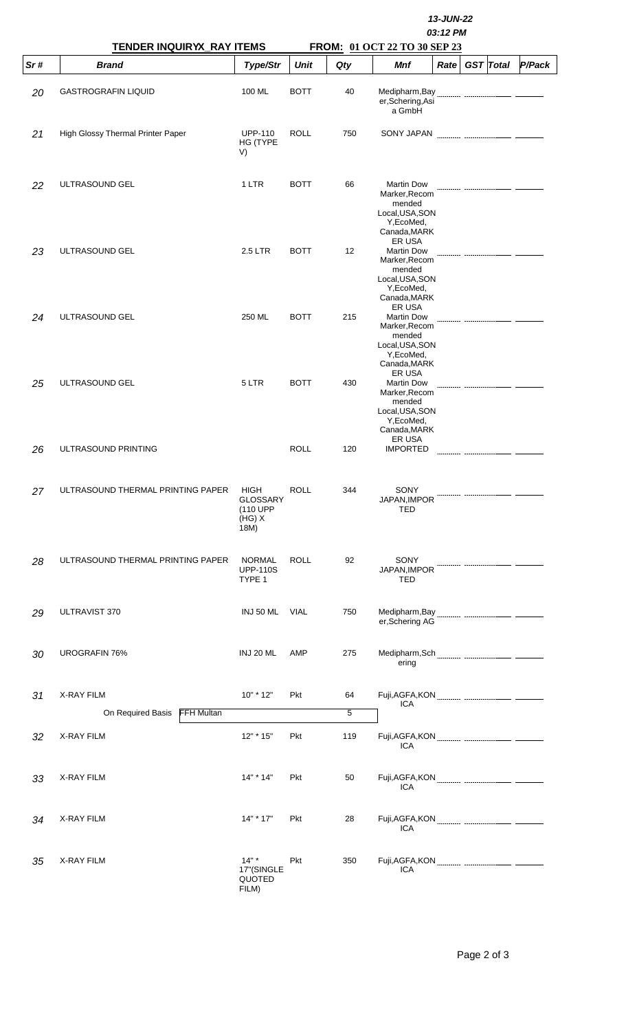|     | <b>TENDER INQUIRYX_RAY ITEMS</b>              |                                                | 13-JUN-22<br>03:12 PM<br>FROM: 01 OCT 22 TO 30 SEP 23 |                      |                                                                                                                |  |  |  |  |  |
|-----|-----------------------------------------------|------------------------------------------------|-------------------------------------------------------|----------------------|----------------------------------------------------------------------------------------------------------------|--|--|--|--|--|
| Sr# | <b>Brand</b>                                  | Type/Str                                       | <b>Unit</b>                                           | Qty                  | <b>Mnf</b><br><b>GST</b> Total<br>P/Pack<br>Rate                                                               |  |  |  |  |  |
| 20  | <b>GASTROGRAFIN LIQUID</b>                    | 100 ML                                         | <b>BOTT</b>                                           | 40                   | Medipharm, Bay<br>er, Schering, Asi<br>a GmbH                                                                  |  |  |  |  |  |
| 21  | High Glossy Thermal Printer Paper             | <b>UPP-110</b><br>HG (TYPE<br>V)               | <b>ROLL</b>                                           | 750                  | SONY JAPAN                                                                                                     |  |  |  |  |  |
| 22  | ULTRASOUND GEL                                | 1 LTR                                          | <b>BOTT</b>                                           | 66                   | <b>Martin Dow</b><br>Marker, Recom<br>mended<br>Local, USA, SON<br>Y, EcoMed,<br>Canada, MARK                  |  |  |  |  |  |
| 23  | ULTRASOUND GEL                                | 2.5 LTR                                        | <b>BOTT</b>                                           | 12 <sup>2</sup>      | <b>ER USA</b><br><b>Martin Dow</b><br>Marker, Recom<br>mended<br>Local, USA, SON<br>Y, EcoMed,<br>Canada, MARK |  |  |  |  |  |
| 24  | ULTRASOUND GEL                                | 250 ML                                         | <b>BOTT</b>                                           | 215                  | ER USA<br><b>Martin Dow</b><br>Marker, Recom<br>mended<br>Local, USA, SON<br>Y, EcoMed,<br>Canada, MARK        |  |  |  |  |  |
| 25  | ULTRASOUND GEL                                | 5 LTR                                          | <b>BOTT</b>                                           | 430                  | ER USA<br><b>Martin Dow</b><br>Marker, Recom<br>mended<br>Local, USA, SON<br>Y, EcoMed,<br>Canada, MARK        |  |  |  |  |  |
| 26  | ULTRASOUND PRINTING                           |                                                | <b>ROLL</b>                                           | 120                  | ER USA<br><b>IMPORTED</b>                                                                                      |  |  |  |  |  |
| 27  | ULTRASOUND THERMAL PRINTING PAPER             | HIGH<br>GLOSSARY<br>(110 UPP<br>(HG) X<br>18M) | ROLL                                                  | 344                  | SONY<br>JAPAN, IMPOR<br>TED                                                                                    |  |  |  |  |  |
| 28  | ULTRASOUND THERMAL PRINTING PAPER             | <b>NORMAL</b><br><b>UPP-110S</b><br>TYPE 1     | <b>ROLL</b>                                           | 92                   | SONY<br>JAPAN, IMPOR<br>TED                                                                                    |  |  |  |  |  |
| 29  | ULTRAVIST 370                                 | INJ 50 ML                                      | VIAL                                                  | 750                  | er, Schering AG                                                                                                |  |  |  |  |  |
| 30  | UROGRAFIN 76%                                 | <b>INJ 20 ML</b>                               | AMP                                                   | 275                  | ering                                                                                                          |  |  |  |  |  |
| 31  | X-RAY FILM<br>FFH Multan<br>On Required Basis | $10" * 12"$                                    | Pkt                                                   | 64<br>$\overline{5}$ | <b>ICA</b>                                                                                                     |  |  |  |  |  |
| 32  | X-RAY FILM                                    | 12" * 15"                                      | Pkt                                                   | 119                  | <b>ICA</b>                                                                                                     |  |  |  |  |  |
| 33  | X-RAY FILM                                    | 14" * 14"                                      | Pkt                                                   | 50                   | <b>ICA</b>                                                                                                     |  |  |  |  |  |
| 34  | X-RAY FILM                                    | 14" * 17"                                      | Pkt                                                   | 28                   | <b>ICA</b>                                                                                                     |  |  |  |  |  |
| 35  | <b>X-RAY FILM</b>                             | $14"$ *<br>17"(SINGLE<br>QUOTED<br>FILM)       | Pkt                                                   | 350                  | <b>ICA</b>                                                                                                     |  |  |  |  |  |